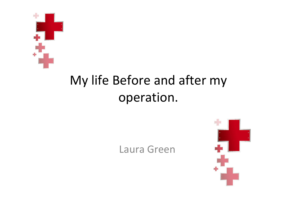

## My life Before and after my operation.

## Laura Green

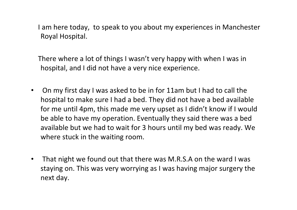I am here today, to speak to you about my experiences in Manchester Royal Hospital.

There where a lot of things I wasn't very happy with when I was in hospital, and I did not have a very nice experience.

- On my first day I was asked to be in for 11am but I had to call the hospital to make sure I had a bed. They did not have a bed available for me until 4pm, this made me very upset as I didn't know if I would be able to have my operation. Eventually they said there was a bed available but we had to wait for 3 hours until my bed was ready. We where stuck in the waiting room.
- That night we found out that there was M.R.S.A on the ward I was staying on. This was very worrying as I was having major surgery the next day.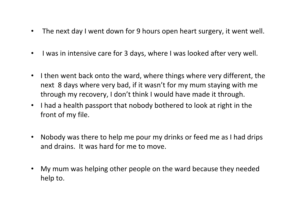- The next day I went down for 9 hours open heart surgery, it went well.
- I was in intensive care for 3 days, where I was looked after very well.
- I then went back onto the ward, where things where very different, the next 8 days where very bad, if it wasn't for my mum staying with me through my recovery, I don't think I would have made it through.
- I had a health passport that nobody bothered to look at right in the front of my file.
- Nobody was there to help me pour my drinks or feed me as I had drips and drains. It was hard for me to move.
- My mum was helping other people on the ward because they needed help to.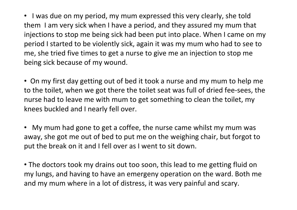• I was due on my period, my mum expressed this very clearly, she told them I am very sick when I have a period, and they assured my mum that injections to stop me being sick had been put into place. When I came on my period I started to be violently sick, again it was my mum who had to see to me, she tried five times to get a nurse to give me an injection to stop me being sick because of my wound.

• On my first day getting out of bed it took a nurse and my mum to help me to the toilet, when we got there the toilet seat was full of dried fee-sees, the nurse had to leave me with mum to get something to clean the toilet, my knees buckled and I nearly fell over.

• My mum had gone to get a coffee, the nurse came whilst my mum was away, she got me out of bed to put me on the weighing chair, but forgot to put the break on it and I fell over as I went to sit down.

• The doctors took my drains out too soon, this lead to me getting fluid on my lungs, and having to have an emergeny operation on the ward. Both me and my mum where in a lot of distress, it was very painful and scary.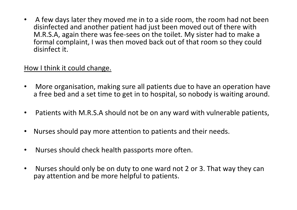• A few days later they moved me in to a side room, the room had not been disinfected and another patient had just been moved out of there with M.R.S.A, again there was fee-sees on the toilet. My sister had to make a formal complaint, I was then moved back out of that room so they could disinfect it.

## How I think it could change.

- More organisation, making sure all patients due to have an operation have a free bed and a set time to get in to hospital, so nobody is waiting around.
- Patients with M.R.S.A should not be on any ward with vulnerable patients,
- Nurses should pay more attention to patients and their needs.
- Nurses should check health passports more often.
- Nurses should only be on duty to one ward not 2 or 3. That way they can pay attention and be more helpful to patients.